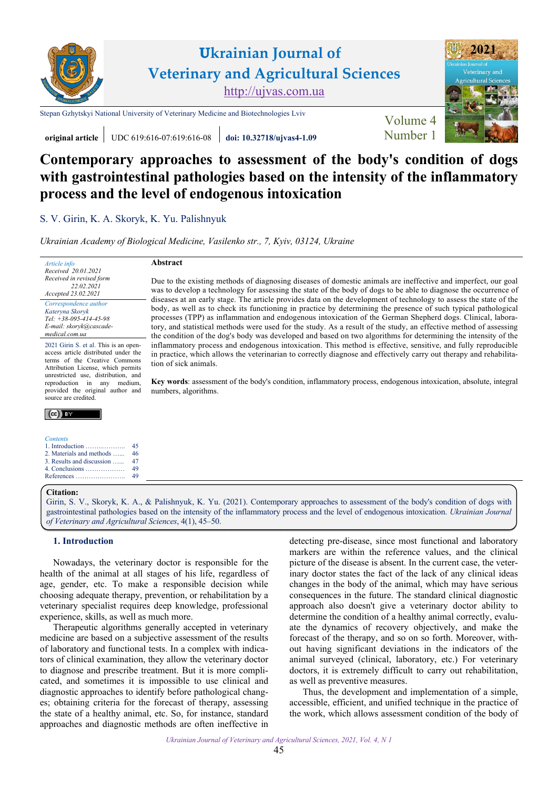



[Stepan Gzhytskyi National University of Veterinary Medicine and Biotechnologies Lviv](https://lvet.edu.ua/) Volume 4



**original article** UDC 619:616-07:619:616-08 **[doi: 10.32718/ujvas4-1.09](https://doi.org/10.32718/ujvas4-1.09)** [Number 1](https://ujvas.com.ua/index.php/journal/issue/view/9)

# **Contemporary approaches to assessment of the body's condition of dogs with gastrointestinal pathologies based on the intensity of the inflammatory process and the level of endogenous intoxication**

Due to the existing methods of diagnosing diseases of domestic animals are ineffective and imperfect, our goal was to develop a technology for assessing the state of the body of dogs to be able to diagnose the occurrence of diseases at an early stage. The article provides data on the development of technology to assess the state of the body, as well as to check its functioning in practice by determining the presence of such typical pathological processes (TPP) as inflammation and endogenous intoxication of the German Shepherd dogs. Clinical, laboratory, and statistical methods were used for the study. As a result of the study, an effective method of assessing the condition of the dog's body was developed and based on two algorithms for determining the intensity of the inflammatory process and endogenous intoxication. This method is effective, sensitive, and fully reproducible in practice, which allows the veterinarian to correctly diagnose and effectively carry out therapy and rehabilita-

**Key words**: assessment of the body's condition, inflammatory process, endogenous intoxication, absolute, integral

S. V. Girin, [K. A. Skoryk,](https://orcid.org/0000-0003-2404-924X) K. Yu. Palishnyuk

*[Ukrainian Academy of Biological Medicine, Vasilenko str., 7, Kyiv, 03124, Ukraine](https://www.uabm.org/)* 

**Abstract** 

tion of sick animals.

numbers, algorithms.

| Article info             |
|--------------------------|
| Received 20.01.2021      |
| Received in revised form |
| 22.02.2021               |
| Accepted 23.02.2021      |
| Correspondence author    |

*[Kateryna Skoryk](https://orcid.org/0000-0003-2404-924X)  Tel: +38-095-414-45-98 E-mail: skoryk@cascademedical.com.ua*

2021 Girin S. et al. This is an openaccess article distributed under the terms of the Creative Commons Attribution License, which permits unrestricted use, distribution, and reproduction in any medium, provided the original author and source are credited.

# $(cc)$  BY

#### *Contents*

|                                          | 45 |
|------------------------------------------|----|
| 2. Materials and methods                 | 46 |
| 3. Results and discussion                | 47 |
| 4. Conclusions $\dots \dots \dots \dots$ | 49 |
| References                               | 49 |

#### **Citation:**

[Girin, S. V., Skoryk, K. A., & Palishnyuk, K. Yu. \(2021\). Contemporary approaches to assessment of the body's condition of dogs with](https://doi.org/10.32718/ujvas4-1.09)  gastrointestinal pathologies based on the intensity of the inflammatory process and the level of endogenous intoxication. *Ukrainian Journal of Veterinary and Agricultural Sciences*, 4(1), 45–50.

## **1. Introduction**

Nowadays, the veterinary doctor is responsible for the health of the animal at all stages of his life, regardless of age, gender, etc. To make a responsible decision while choosing adequate therapy, prevention, or rehabilitation by a veterinary specialist requires deep knowledge, professional experience, skills, as well as much more.

Therapeutic algorithms generally accepted in veterinary medicine are based on a subjective assessment of the results of laboratory and functional tests. In a complex with indicators of clinical examination, they allow the veterinary doctor to diagnose and prescribe treatment. But it is more complicated, and sometimes it is impossible to use clinical and diagnostic approaches to identify before pathological changes; obtaining criteria for the forecast of therapy, assessing the state of a healthy animal, etc. So, for instance, standard approaches and diagnostic methods are often ineffective in

detecting pre-disease, since most functional and laboratory markers are within the reference values, and the clinical picture of the disease is absent. In the current case, the veterinary doctor states the fact of the lack of any clinical ideas changes in the body of the animal, which may have serious consequences in the future. The standard clinical diagnostic approach also doesn't give a veterinary doctor ability to determine the condition of a healthy animal correctly, evaluate the dynamics of recovery objectively, and make the forecast of the therapy, and so on so forth. Moreover, without having significant deviations in the indicators of the animal surveyed (clinical, laboratory, etc.) For veterinary doctors, it is extremely difficult to carry out rehabilitation, as well as preventive measures.

Thus, the development and implementation of a simple, accessible, efficient, and unified technique in the practice of the work, which allows assessment condition of the body of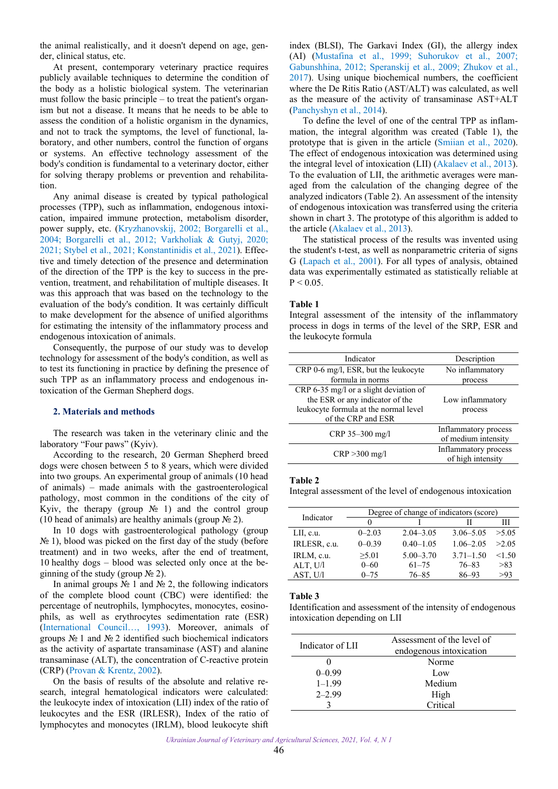<span id="page-1-0"></span>the animal realistically, and it doesn't depend on age, gender, clinical status, etc.

At present, contemporary veterinary practice requires publicly available techniques to determine the condition of the body as a holistic biological system. The veterinarian must follow the basic principle – to treat the patient's organism but not a disease. It means that he needs to be able to assess the condition of a holistic organism in the dynamics, and not to track the symptoms, the level of functional, laboratory, and other numbers, control the function of organs or systems. An effective technology assessment of the body's condition is fundamental to a veterinary doctor, either for solving therapy problems or prevention and rehabilitation.

Any animal disease is created by typical pathological processes (TPP), such as inflammation, endogenous intoxication, impaired immune protection, metabolism disorder, power supply, etc. [\(Kryzhanovskij, 2002;](#page-5-0) [Borgarelli et al.,](#page-4-0) [2004;](#page-4-0) [Borgarelli et al., 2012](#page-4-0); [Varkholiak & Gutyj, 2020;](#page-5-0) [2021;](#page-5-0) [Stybel et al., 2021](#page-5-0); [Konstantinidis et al., 2021\)](#page-5-0). Effective and timely detection of the presence and determination of the direction of the TPP is the key to success in the prevention, treatment, and rehabilitation of multiple diseases. It was this approach that was based on the technology to the evaluation of the body's condition. It was certainly difficult to make development for the absence of unified algorithms for estimating the intensity of the inflammatory process and endogenous intoxication of animals.

Consequently, the purpose of our study was to develop technology for assessment of the body's condition, as well as to test its functioning in practice by defining the presence of such TPP as an inflammatory process and endogenous intoxication of the German Shepherd dogs.

#### **2. Materials and methods**

The research was taken in the veterinary clinic and the laboratory "Four paws" (Kyiv).

According to the research, 20 German Shepherd breed dogs were chosen between 5 to 8 years, which were divided into two groups. An experimental group of animals (10 head of animals) – made animals with the gastroenterological pathology, most common in the conditions of the city of Kyiv, the therapy (group  $N_2$  1) and the control group (10 head of animals) are healthy animals (group  $\mathcal{N}_2$ ).

In 10 dogs with gastroenterological pathology (group  $N<sub>2</sub>$  1), blood was picked on the first day of the study (before treatment) and in two weeks, after the end of treatment, 10 healthy dogs – blood was selected only once at the beginning of the study (group  $\mathcal{N}$  2).

In animal groups № 1 and № 2, the following indicators of the complete blood count (CBC) were identified: the percentage of neutrophils, lymphocytes, monocytes, eosinophils, as well as erythrocytes sedimentation rate (ESR) ([International Council…, 1993](#page-5-0)). Moreover, animals of groups № 1 and № 2 identified such biochemical indicators as the activity of aspartate transaminase (AST) and alanine transaminase (ALT), the concentration of C-reactive protein (CRP) ([Provan & Krentz, 2002](#page-5-0)).

On the basis of results of the absolute and relative research, integral hematological indicators were calculated: the leukocyte index of intoxication (LII) index of the ratio of leukocytes and the ESR (IRLESR), Index of the ratio of lymphocytes and monocytes (IRLM), blood leukocyte shift

index (BLSI), The Garkavi Index (GI), the allergy index (AI) [\(Mustafina et al., 1999;](#page-5-0) [Suhorukov et al., 2007;](#page-5-0) [Gabunshhina, 2012](#page-4-0); [Speranskij et al., 2009;](#page-5-0) [Zhukov et al.,](#page-5-0)  [2017](#page-5-0)). Using unique biochemical numbers, the coefficient where the De Ritis Ratio (AST/ALT) was calculated, as well as the measure of the activity of transaminase AST+ALT [\(Panchyshyn et al., 2014\)](#page-5-0).

To define the level of one of the central TPP as inflammation, the integral algorithm was created (Table 1), the prototype that is given in the article [\(Smiian et al., 2020\)](#page-5-0). The effect of endogenous intoxication was determined using the integral level of intoxication (LII) [\(Akalaev et al., 2013\)](#page-4-0). To the evaluation of LII, the arithmetic averages were managed from the calculation of the changing degree of the analyzed indicators (Table 2). An assessment of the intensity of endogenous intoxication was transferred using the criteria shown in chart 3. The prototype of this algorithm is added to the article ([Akalaev et al., 2013\)](#page-4-0).

The statistical process of the results was invented using the student's t-test, as well as nonparametric criteria of signs G [\(Lapach et al., 2001\)](#page-5-0). For all types of analysis, obtained data was experimentally estimated as statistically reliable at  $P < 0.05$ .

## **Table 1**

Integral assessment of the intensity of the inflammatory process in dogs in terms of the level of the SRP, ESR and the leukocyte formula

| Indicator                              | Description          |
|----------------------------------------|----------------------|
| CRP 0-6 mg/l, ESR, but the leukocyte   | No inflammatory      |
| formula in norms                       | process              |
| CRP 6-35 mg/l or a slight deviation of |                      |
| the ESR or any indicator of the        | Low inflammatory     |
| leukocyte formula at the normal level  | process              |
| of the CRP and ESR                     |                      |
|                                        | Inflammatory process |
| CRP 35-300 mg/l                        | of medium intensity  |
|                                        | Inflammatory process |
| $CRP > 300$ mg/l                       | of high intensity    |

#### **Table 2**

Integral assessment of the level of endogenous intoxication

| Indicator    | Degree of change of indicators (score) |               |               |        |  |
|--------------|----------------------------------------|---------------|---------------|--------|--|
|              |                                        |               |               | Ш      |  |
| LII, c.u.    | $0 - 2.03$                             | $2.04 - 3.05$ | $3.06 - 5.05$ | >5.05  |  |
| IRLESR, c.u. | $0 - 0.39$                             | $0.40 - 1.05$ | $1.06 - 2.05$ | >2.05  |  |
| IRLM, c.u.   | >5.01                                  | $5.00 - 3.70$ | $3.71 - 1.50$ | < 1.50 |  |
| ALT, U/l     | $0 - 60$                               | $61 - 75$     | $76 - 83$     | >83    |  |
| AST, U/l     | $0 - 75$                               | $76 - 85$     | $86 - 93$     | >93    |  |

#### **Table 3**

Identification and assessment of the intensity of endogenous intoxication depending on LII

| Indicator of LII | Assessment of the level of<br>endogenous intoxication |  |  |
|------------------|-------------------------------------------------------|--|--|
|                  | Norme                                                 |  |  |
| $0-0.99$         | Low                                                   |  |  |
| $1 - 1.99$       | Medium                                                |  |  |
| $2 - 2.99$       | High                                                  |  |  |
|                  | Critical                                              |  |  |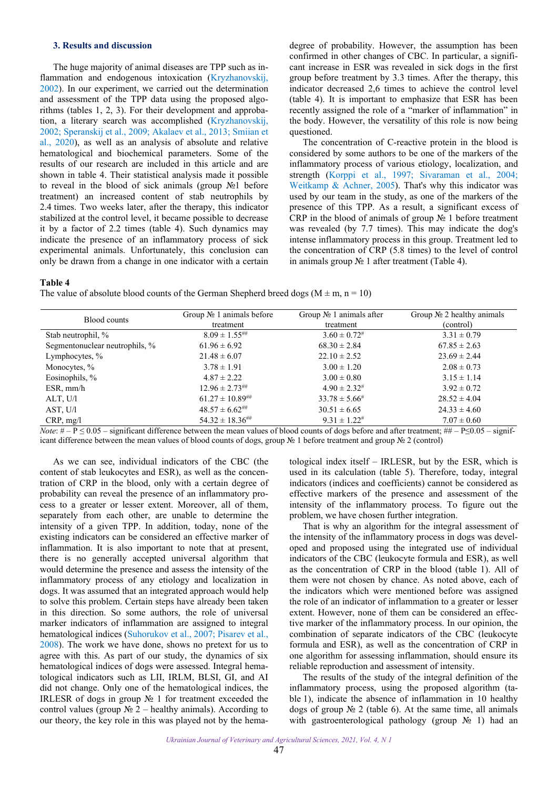## <span id="page-2-0"></span>**3. Results and discussion**

The huge majority of animal diseases are TPP such as in-flammation and endogenous intoxication ([Kryzhanovskij,](#page-5-0) 2002). In our experiment, we carried out the determination and assessment of the TPP data using the proposed algorithms (tables 1, 2, 3). For their development and approbation, a literary search was accomplished (Kryzhanovskij, [2002;](#page-5-0) [Speranskij et al., 2009](#page-5-0); [Akalaev et al., 2013;](#page-4-0) [Smiian et](#page-5-0) [al., 2020](#page-5-0)), as well as an analysis of absolute and relative hematological and biochemical parameters. Some of the results of our research are included in this article and are shown in table 4. Their statistical analysis made it possible to reveal in the blood of sick animals (group №1 before treatment) an increased content of stab neutrophils by 2.4 times. Two weeks later, after the therapy, this indicator stabilized at the control level, it became possible to decrease it by a factor of 2.2 times (table 4). Such dynamics may indicate the presence of an inflammatory process of sick experimental animals. Unfortunately, this conclusion can only be drawn from a change in one indicator with a certain

degree of probability. However, the assumption has been confirmed in other changes of CBC. In particular, a significant increase in ESR was revealed in sick dogs in the first group before treatment by 3.3 times. After the therapy, this indicator decreased 2,6 times to achieve the control level (table 4). It is important to emphasize that ESR has been recently assigned the role of a "marker of inflammation" in the body. However, the versatility of this role is now being questioned.

The concentration of C-reactive protein in the blood is considered by some authors to be one of the markers of the inflammatory process of various etiology, localization, and strength [\(Korppi et al., 1997;](#page-5-0) [Sivaraman et al., 2004;](#page-5-0) [Weitkamp & Achner, 2005\)](#page-5-0). That's why this indicator was used by our team in the study, as one of the markers of the presence of this TPP. As a result, a significant excess of CRP in the blood of animals of group № 1 before treatment was revealed (by 7.7 times). This may indicate the dog's intense inflammatory process in this group. Treatment led to the concentration of CRP (5.8 times) to the level of control in animals group № 1 after treatment (Table 4).

## **Table 4**

The value of absolute blood counts of the German Shepherd breed dogs ( $M \pm m$ ,  $n = 10$ )

| Blood counts                   | Group $N_2$ 1 animals before<br>treatment | Group $N_2$ 1 animals after<br>treatment | Group $N_2$ 2 healthy animals<br>(control) |
|--------------------------------|-------------------------------------------|------------------------------------------|--------------------------------------------|
| Stab neutrophil, %             | $8.09 \pm 1.55$ ##                        | $3.60 \pm 0.72$ #                        | $3.31 \pm 0.79$                            |
| Segmentonuclear neutrophils, % | $61.96 \pm 6.92$                          | $68.30 \pm 2.84$                         | $67.85 \pm 2.63$                           |
| Lymphocytes, %                 | $21.48 \pm 6.07$                          | $22.10 \pm 2.52$                         | $23.69 \pm 2.44$                           |
| Monocytes, %                   | $3.78 \pm 1.91$                           | $3.00 \pm 1.20$                          | $2.08 \pm 0.73$                            |
| Eosinophils, %                 | $4.87 \pm 2.22$                           | $3.00 \pm 0.80$                          | $3.15 \pm 1.14$                            |
| ESR, mm/h                      | $12.96 \pm 2.73^{\text{\#H}}$             | $4.90 \pm 2.32^{\#}$                     | $3.92 \pm 0.72$                            |
| ALT, U/l                       | $61.27 \pm 10.89^{ \text{\#} \text{\#}}$  | $33.78 \pm 5.66^{\#}$                    | $28.52 \pm 4.04$                           |
| AST, U/l                       | $48.57 \pm 6.62^{\text{***}}$             | $30.51 \pm 6.65$                         | $24.33 \pm 4.60$                           |
| CRP, mg/l                      | $54.32 \pm 18.36$ ##                      | $9.31 \pm 1.22^{\#}$                     | $7.07 \pm 0.60$                            |

*Note*:  $# - P \le 0.05$  – significant difference between the mean values of blood counts of dogs before and after treatment;  $# + P \le 0.05$  – significant icant difference between the mean values of blood counts of dogs, group № 1 before treatment and group № 2 (control)

As we can see, individual indicators of the CBC (the content of stab leukocytes and ESR), as well as the concentration of CRP in the blood, only with a certain degree of probability can reveal the presence of an inflammatory process to a greater or lesser extent. Moreover, all of them, separately from each other, are unable to determine the intensity of a given TPP. In addition, today, none of the existing indicators can be considered an effective marker of inflammation. It is also important to note that at present, there is no generally accepted universal algorithm that would determine the presence and assess the intensity of the inflammatory process of any etiology and localization in dogs. It was assumed that an integrated approach would help to solve this problem. Certain steps have already been taken in this direction. So some authors, the role of universal marker indicators of inflammation are assigned to integral hematological indices [\(Suhorukov et al., 2007](#page-5-0); [Pisarev et al.,](#page-5-0) [2008\)](#page-5-0). The work we have done, shows no pretext for us to agree with this. As part of our study, the dynamics of six hematological indices of dogs were assessed. Integral hematological indicators such as LII, IRLM, BLSI, GI, and AI did not change. Only one of the hematological indices, the IRLESR of dogs in group № 1 for treatment exceeded the control values (group  $\mathbb{N}^2$  2 – healthy animals). According to our theory, the key role in this was played not by the hematological index itself – IRLESR, but by the ESR, which is used in its calculation (table 5). Therefore, today, integral indicators (indices and coefficients) cannot be considered as effective markers of the presence and assessment of the intensity of the inflammatory process. To figure out the problem, we have chosen further integration.

That is why an algorithm for the integral assessment of the intensity of the inflammatory process in dogs was developed and proposed using the integrated use of individual indicators of the CBC (leukocyte formula and ESR), as well as the concentration of CRP in the blood (table 1). All of them were not chosen by chance. As noted above, each of the indicators which were mentioned before was assigned the role of an indicator of inflammation to a greater or lesser extent. However, none of them can be considered an effective marker of the inflammatory process. In our opinion, the combination of separate indicators of the CBC (leukocyte formula and ESR), as well as the concentration of CRP in one algorithm for assessing inflammation, should ensure its reliable reproduction and assessment of intensity.

The results of the study of the integral definition of the inflammatory process, using the proposed algorithm (table 1), indicate the absence of inflammation in 10 healthy dogs of group № 2 (table 6). At the same time, all animals with gastroenterological pathology (group № 1) had an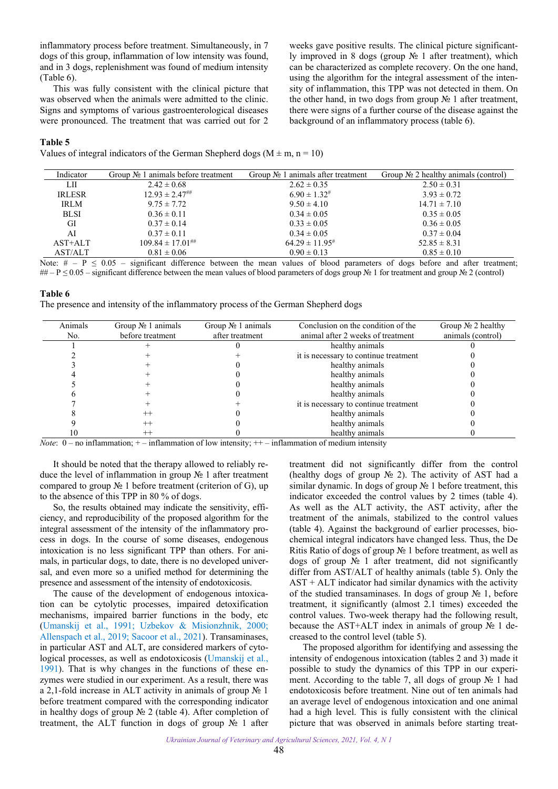inflammatory process before treatment. Simultaneously, in 7 dogs of this group, inflammation of low intensity was found, and in 3 dogs, replenishment was found of medium intensity (Table 6).

This was fully consistent with the clinical picture that was observed when the animals were admitted to the clinic. Signs and symptoms of various gastroenterological diseases were pronounced. The treatment that was carried out for 2

weeks gave positive results. The clinical picture significantly improved in 8 dogs (group № 1 after treatment), which can be characterized as complete recovery. On the one hand, using the algorithm for the integral assessment of the intensity of inflammation, this TPP was not detected in them. On the other hand, in two dogs from group  $\mathcal{N}_2$  1 after treatment, there were signs of a further course of the disease against the background of an inflammatory process (table 6).

#### **Table 5**

Values of integral indicators of the German Shepherd dogs ( $M \pm m$ , n = 10)

| Indicator     | Group $N_2$ 1 animals before treatment | Group $N_2$ 1 animals after treatment | Group $N_2$ 2 healthy animals (control) |
|---------------|----------------------------------------|---------------------------------------|-----------------------------------------|
| LШ            | $2.42 \pm 0.68$                        | $2.62 \pm 0.35$                       | $2.50 \pm 0.31$                         |
| <b>IRLESR</b> | $12.93 \pm 2.47$ ##                    | $6.90 \pm 1.32^{\#}$                  | $3.93 \pm 0.72$                         |
| <b>IRLM</b>   | $9.75 \pm 7.72$                        | $9.50 \pm 4.10$                       | $14.71 \pm 7.10$                        |
| <b>BLSI</b>   | $0.36 \pm 0.11$                        | $0.34 \pm 0.05$                       | $0.35 \pm 0.05$                         |
| GI            | $0.37 \pm 0.14$                        | $0.33 \pm 0.05$                       | $0.36 \pm 0.05$                         |
| AI            | $0.37 \pm 0.11$                        | $0.34 \pm 0.05$                       | $0.37 \pm 0.04$                         |
| AST+ALT       | $109.84 \pm 17.01$ ##                  | $64.29 \pm 11.95^{\#}$                | $52.85 \pm 8.31$                        |
| AST/ALT       | $0.81 \pm 0.06$                        | $0.90 \pm 0.13$                       | $0.85 \pm 0.10$                         |

Note:  $# - P \le 0.05$  – significant difference between the mean values of blood parameters of dogs before and after treatment; ## – P  $\leq$  0.05 – significant difference between the mean values of blood parameters of dogs group  $\mathbb{N}_{\geq}$  1 for treatment and group  $\mathbb{N}_{\geq}$  (control)

#### **Table 6**

The presence and intensity of the inflammatory process of the German Shepherd dogs

| Animals | Group $N_2$ 1 animals | Group $N_2$ 1 animals | Conclusion on the condition of the    | Group $N_2$ 2 healthy |
|---------|-----------------------|-----------------------|---------------------------------------|-----------------------|
| No.     | before treatment      | after treatment       | animal after 2 weeks of treatment     | animals (control)     |
|         |                       |                       | healthy animals                       |                       |
|         |                       |                       | it is necessary to continue treatment |                       |
|         |                       |                       | healthy animals                       |                       |
|         |                       |                       | healthy animals                       |                       |
|         |                       |                       | healthy animals                       |                       |
|         |                       |                       | healthy animals                       |                       |
|         |                       |                       | it is necessary to continue treatment |                       |
|         | $^{++}$               |                       | healthy animals                       |                       |
|         | $^{++}$               |                       | healthy animals                       |                       |
|         | $^{++}$               |                       | healthy animals                       |                       |

*Note*: 0 – no inflammation; + – inflammation of low intensity; + + – inflammation of medium intensity

It should be noted that the therapy allowed to reliably reduce the level of inflammation in group № 1 after treatment compared to group  $\mathcal{N}_2$  1 before treatment (criterion of G), up to the absence of this TPP in 80 % of dogs.

So, the results obtained may indicate the sensitivity, efficiency, and reproducibility of the proposed algorithm for the integral assessment of the intensity of the inflammatory process in dogs. In the course of some diseases, endogenous intoxication is no less significant TPP than others. For animals, in particular dogs, to date, there is no developed universal, and even more so a unified method for determining the presence and assessment of the intensity of endotoxicosis.

The cause of the development of endogenous intoxication can be cytolytic processes, impaired detoxification mechanisms, impaired barrier functions in the body, etc ([Umanskij et al., 1991](#page-5-0); [Uzbekov & Misionzhnik, 2000;](#page-5-0) [Allenspach et al., 2019](#page-4-0); [Sacoor et al., 2021\)](#page-5-0). Transaminases, in particular AST and ALT, are considered markers of cytological processes, as well as endotoxicosis ([Umanskij et al.,](#page-5-0) [1991\)](#page-5-0). That is why changes in the functions of these enzymes were studied in our experiment. As a result, there was a 2,1-fold increase in ALT activity in animals of group № 1 before treatment compared with the corresponding indicator in healthy dogs of group № 2 (table 4). After completion of treatment, the ALT function in dogs of group № 1 after

treatment did not significantly differ from the control (healthy dogs of group № 2). The activity of AST had a similar dynamic. In dogs of group № 1 before treatment, this indicator exceeded the control values by 2 times (table 4). As well as the ALT activity, the AST activity, after the treatment of the animals, stabilized to the control values (table 4). Against the background of earlier processes, biochemical integral indicators have changed less. Thus, the De Ritis Ratio of dogs of group № 1 before treatment, as well as dogs of group № 1 after treatment, did not significantly differ from AST/ALT of healthy animals (table 5). Only the  $AST + ALT$  indicator had similar dynamics with the activity of the studied transaminases. In dogs of group № 1, before treatment, it significantly (almost 2.1 times) exceeded the control values. Two-week therapy had the following result, because the AST+ALT index in animals of group  $\mathcal{N}_2$  1 decreased to the control level (table 5).

The proposed algorithm for identifying and assessing the intensity of endogenous intoxication (tables 2 and 3) made it possible to study the dynamics of this TPP in our experiment. According to the table 7, all dogs of group № 1 had endotoxicosis before treatment. Nine out of ten animals had an average level of endogenous intoxication and one animal had a high level. This is fully consistent with the clinical picture that was observed in animals before starting treat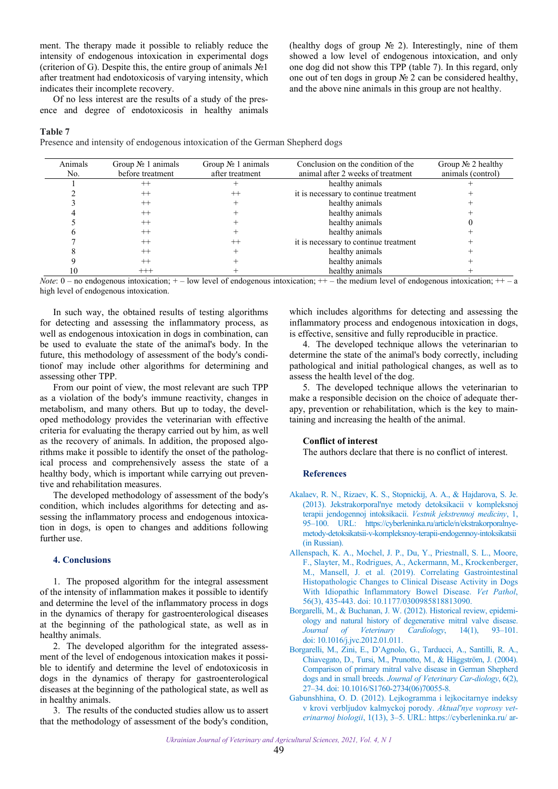<span id="page-4-0"></span>ment. The therapy made it possible to reliably reduce the intensity of endogenous intoxication in experimental dogs (criterion of G). Despite this, the entire group of animals  $N<sub>2</sub>1$ after treatment had endotoxicosis of varying intensity, which indicates their incomplete recovery.

Of no less interest are the results of a study of the presence and degree of endotoxicosis in healthy animals (healthy dogs of group № 2). Interestingly, nine of them showed a low level of endogenous intoxication, and only one dog did not show this TPP (table 7). In this regard, only one out of ten dogs in group № 2 can be considered healthy, and the above nine animals in this group are not healthy.

## **Table 7**

Presence and intensity of endogenous intoxication of the German Shepherd dogs

| Animals<br>No. | Group $N_2$ 1 animals<br>before treatment | Group $N_2$ 1 animals<br>after treatment | Conclusion on the condition of the<br>animal after 2 weeks of treatment | Group $N_2$ 2 healthy<br>animals (control) |
|----------------|-------------------------------------------|------------------------------------------|-------------------------------------------------------------------------|--------------------------------------------|
|                | $^{++}$                                   |                                          | healthy animals                                                         |                                            |
|                | $^{++}$                                   | $^{++}$                                  | it is necessary to continue treatment                                   |                                            |
|                | $++$                                      |                                          | healthy animals                                                         |                                            |
|                | $++$                                      |                                          | healthy animals                                                         |                                            |
|                | $++$                                      |                                          | healthy animals                                                         |                                            |
|                | $++$                                      |                                          | healthy animals                                                         |                                            |
|                | $++$                                      | $^{++}$                                  | it is necessary to continue treatment                                   |                                            |
|                | $++$                                      |                                          | healthy animals                                                         |                                            |
|                | $++$                                      |                                          | healthy animals                                                         |                                            |
|                | $+++$                                     |                                          | healthy animals                                                         |                                            |

*Note*:  $0 -$  no endogenous intoxication;  $+ -$  low level of endogenous intoxication;  $++ -$  the medium level of endogenous intoxication;  $++$ high level of endogenous intoxication.

In such way, the obtained results of testing algorithms for detecting and assessing the inflammatory process, as well as endogenous intoxication in dogs in combination, can be used to evaluate the state of the animal's body. In the future, this methodology of assessment of the body's conditionof may include other algorithms for determining and assessing other TPP.

From our point of view, the most relevant are such TPP as a violation of the body's immune reactivity, changes in metabolism, and many others. But up to today, the developed methodology provides the veterinarian with effective criteria for evaluating the therapy carried out by him, as well as the recovery of animals. In addition, the proposed algorithms make it possible to identify the onset of the pathological process and comprehensively assess the state of a healthy body, which is important while carrying out preventive and rehabilitation measures.

The developed methodology of assessment of the body's condition, which includes algorithms for detecting and assessing the inflammatory process and endogenous intoxication in dogs, is open to changes and additions following further use.

## **4. Conclusions**

1. The proposed algorithm for the integral assessment of the intensity of inflammation makes it possible to identify and determine the level of the inflammatory process in dogs in the dynamics of therapy for gastroenterological diseases at the beginning of the pathological state, as well as in healthy animals.

2. The developed algorithm for the integrated assessment of the level of endogenous intoxication makes it possible to identify and determine the level of endotoxicosis in dogs in the dynamics of therapy for gastroenterological diseases at the beginning of the pathological state, as well as in healthy animals.

3. The results of the conducted studies allow us to assert that the methodology of assessment of the body's condition,

which includes algorithms for detecting and assessing the inflammatory process and endogenous intoxication in dogs, is effective, sensitive and fully reproducible in practice.

4. The developed technique allows the veterinarian to determine the state of the animal's body correctly, including pathological and initial pathological changes, as well as to assess the health level of the dog.

5. The developed technique allows the veterinarian to make a responsible decision on the choice of adequate therapy, prevention or rehabilitation, which is the key to maintaining and increasing the health of the animal.

## **Conflict of interest**

The authors declare that there is no conflict of interest.

#### **References**

- [Akalaev, R. N., Rizaev, K. S., Stopnickij, A. A., & Hajdarova, S. Je.](https://cyberleninka.ru/article/n/ekstrakorporalnye-metody-detoksikatsii-v-kompleksnoy-terapii-endogennoy-intoksikatsii)  (2013). Jekstrakorporal'nye metody detoksikacii v kompleksnoj terapii jendogennoj intoksikacii. *Vestnik jekstrennoj mediciny*, 1, 95–100. URL: https://cyberleninka.ru/article/n/ekstrakorporalnyemetody-detoksikatsii-v-kompleksnoy-terapii-endogennoy-intoksikatsii (in Russian).
- [Allenspach, K. A., Mochel, J. P., Du, Y., Priestnall, S. L., Moore,](https://doi.org/10.1177/0300985818813090)  F., Slayter, M., Rodrigues, A., Ackermann, M., Krockenberger, M., Mansell, J. et al. (2019). Correlating Gastrointestinal Histopathologic Changes to Clinical Disease Activity in Dogs With Idiopathic Inflammatory Bowel Disease. *Vet Pathol*, 56(3), 435-443. doi: 10.1177/0300985818813090.
- [Borgarelli, M., & Buchanan, J. W. \(2012\). Historical review, epidemi](https://doi.org/10.1016/j.jvc.2012.01.011)ology and natural history of degenerative mitral valve disease. *Journal of Veterinary Cardiology*, 14(1), 93–101. doi: 10.1016/j.jvc.2012.01.011.
- [Borgarelli, M., Zini, E., D'Agnolo, G., Tarducci, A., Santilli, R. A.,](https://doi.org/10.1016/S1760-2734(06)70055-8)  Chiavegato, D., Tursi, M., Prunotto, M., & Häggström, J. (2004). Comparison of primary mitral valve disease in German Shepherd dogs and in small breeds. *Journal of Veterinary Car-diology*, 6(2), 27–34. doi: 10.1016/S1760-2734(06)70055-8.
- [Gabunshhina, O. D. \(2012\). Lejkogramma i lejkocitarnye indeksy](https://cyberleninka.ru/article/n/leykogramma-i-leykotsitarnye-indeksy-krovi-verblyudov-kalmytskoy-porody-camelus-bactrianus/viewer)  v krovi verbljudov kalmyckoj porody. *Aktual'nye voprosy veterinarnoj biologii*, 1(13), 3–5. URL: https://cyberleninka.ru/ ar-

*Ukrainian Journal of Veterinary and Agricultural Sciences, 2021, Vol. 4, N 1*